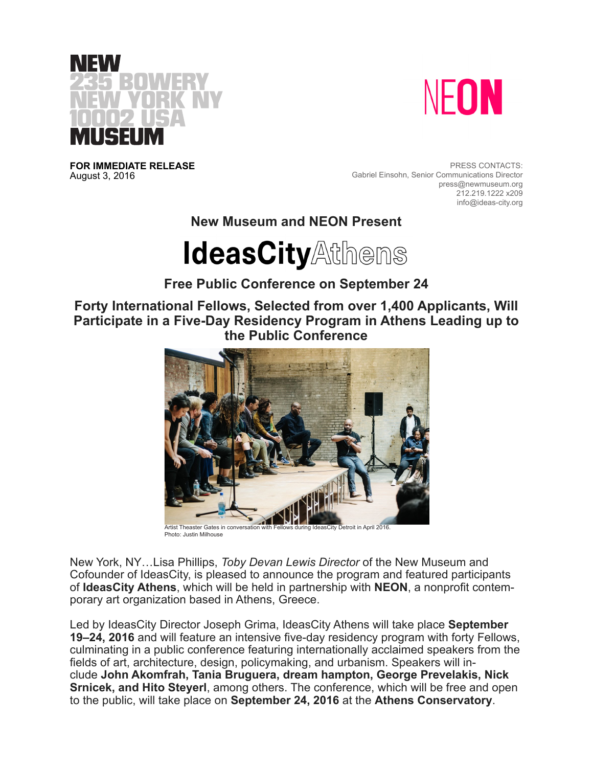



**FOR IMMEDIATE RELEASE** August 3, 2016

PRESS CONTACTS: Gabriel Einsohn, Senior Communications Director press@newmuseum.org 212.219.1222 x209 info@ideas-city.org

**New Museum and NEON Present**

# **IdeasCityAthens**

# **Free Public Conference on September 24**

**Forty International Fellows, Selected from over 1,400 Applicants, Will Participate in a Five-Day Residency Program in Athens Leading up to the Public Conference**



Photo: Justin Milhouse

New York, NY…Lisa Phillips, *Toby Devan Lewis Director* of the New Museum and Cofounder of IdeasCity, is pleased to announce the program and featured participants of **IdeasCity Athens**, which will be held in partnership with **NEON**, a nonprofit contemporary art organization based in Athens, Greece.

Led by IdeasCity Director Joseph Grima, IdeasCity Athens will take place **September 19–24, 2016** and will feature an intensive five-day residency program with forty Fellows, culminating in a public conference featuring internationally acclaimed speakers from the fields of art, architecture, design, policymaking, and urbanism. Speakers will include **John Akomfrah, Tania Bruguera, dream hampton, George Prevelakis, Nick Srnicek, and Hito Steyerl**, among others. The conference, which will be free and open to the public, will take place on **September 24, 2016** at the **Athens Conservatory**.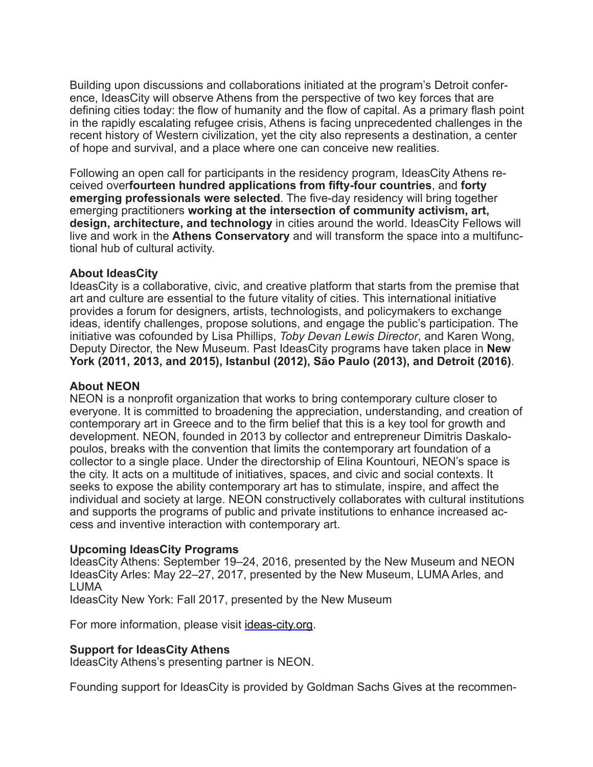Building upon discussions and collaborations initiated at the program's Detroit conference, IdeasCity will observe Athens from the perspective of two key forces that are defining cities today: the flow of humanity and the flow of capital. As a primary flash point in the rapidly escalating refugee crisis, Athens is facing unprecedented challenges in the recent history of Western civilization, yet the city also represents a destination, a center of hope and survival, and a place where one can conceive new realities.

Following an open call for participants in the residency program, IdeasCity Athens received over**fourteen hundred applications from fifty-four countries**, and **forty emerging professionals were selected**. The five-day residency will bring together emerging practitioners **working at the intersection of community activism, art, design, architecture, and technology** in cities around the world. IdeasCity Fellows will live and work in the **Athens Conservatory** and will transform the space into a multifunctional hub of cultural activity.

#### **About IdeasCity**

IdeasCity is a collaborative, civic, and creative platform that starts from the premise that art and culture are essential to the future vitality of cities. This international initiative provides a forum for designers, artists, technologists, and policymakers to exchange ideas, identify challenges, propose solutions, and engage the public's participation. The initiative was cofounded by Lisa Phillips, *Toby Devan Lewis Director*, and Karen Wong, Deputy Director, the New Museum. Past IdeasCity programs have taken place in **New York (2011, 2013, and 2015), Istanbul (2012), São Paulo (2013), and Detroit (2016)**.

### **About NEON**

NEON is a nonprofit organization that works to bring contemporary culture closer to everyone. It is committed to broadening the appreciation, understanding, and creation of contemporary art in Greece and to the firm belief that this is a key tool for growth and development. NEON, founded in 2013 by collector and entrepreneur Dimitris Daskalopoulos, breaks with the convention that limits the contemporary art foundation of a collector to a single place. Under the directorship of Elina Kountouri, NEON's space is the city. It acts on a multitude of initiatives, spaces, and civic and social contexts. It seeks to expose the ability contemporary art has to stimulate, inspire, and affect the individual and society at large. NEON constructively collaborates with cultural institutions and supports the programs of public and private institutions to enhance increased access and inventive interaction with contemporary art.

## **Upcoming IdeasCity Programs**

IdeasCity Athens: September 19–24, 2016, presented by the New Museum and NEON IdeasCity Arles: May 22–27, 2017, presented by the New Museum, LUMA Arles, and LUMA

IdeasCity New York: Fall 2017, presented by the New Museum

For more information, please visit ideas-city.org.

#### **Support for IdeasCity Athens**

IdeasCity Athens's presenting partner is NEON.

Founding support for IdeasCity is provided by Goldman Sachs Gives at the recommen-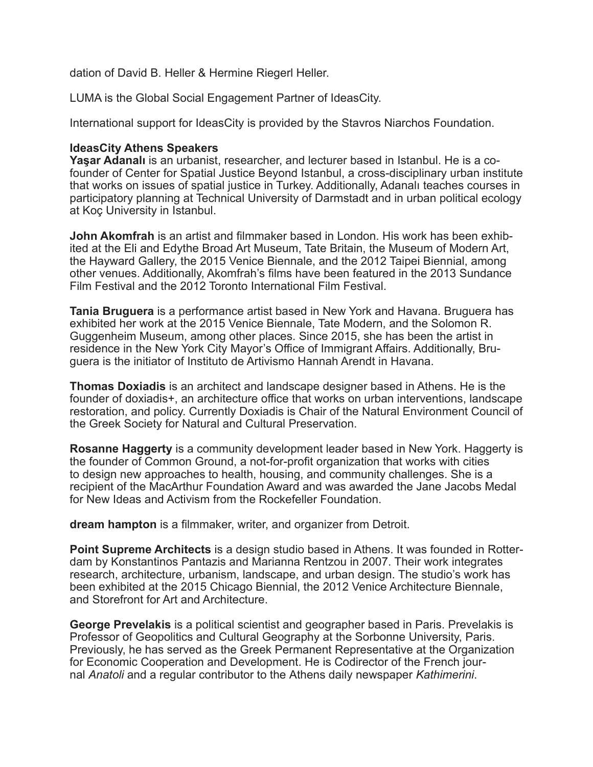dation of David B. Heller & Hermine Riegerl Heller.

LUMA is the Global Social Engagement Partner of IdeasCity.

International support for IdeasCity is provided by the Stavros Niarchos Foundation.

#### **IdeasCity Athens Speakers**

**Yaşar Adanalı** is an urbanist, researcher, and lecturer based in Istanbul. He is a cofounder of Center for Spatial Justice Beyond Istanbul, a cross-disciplinary urban institute that works on issues of spatial justice in Turkey. Additionally, Adanalı teaches courses in participatory planning at Technical University of Darmstadt and in urban political ecology at Koç University in Istanbul.

**John Akomfrah** is an artist and filmmaker based in London. His work has been exhibited at the Eli and Edythe Broad Art Museum, Tate Britain, the Museum of Modern Art, the Hayward Gallery, the 2015 Venice Biennale, and the 2012 Taipei Biennial, among other venues. Additionally, Akomfrah's films have been featured in the 2013 Sundance Film Festival and the 2012 Toronto International Film Festival.

**Tania Bruguera** is a performance artist based in New York and Havana. Bruguera has exhibited her work at the 2015 Venice Biennale, Tate Modern, and the Solomon R. Guggenheim Museum, among other places. Since 2015, she has been the artist in residence in the New York City Mayor's Office of Immigrant Affairs. Additionally, Bruguera is the initiator of Instituto de Artivismo Hannah Arendt in Havana.

**Thomas Doxiadis** is an architect and landscape designer based in Athens. He is the founder of doxiadis+, an architecture office that works on urban interventions, landscape restoration, and policy. Currently Doxiadis is Chair of the Natural Environment Council of the Greek Society for Natural and Cultural Preservation.

**Rosanne Haggerty** is a community development leader based in New York. Haggerty is the founder of Common Ground, a not-for-profit organization that works with cities to design new approaches to health, housing, and community challenges. She is a recipient of the MacArthur Foundation Award and was awarded the Jane Jacobs Medal for New Ideas and Activism from the Rockefeller Foundation.

**dream hampton** is a filmmaker, writer, and organizer from Detroit.

**Point Supreme Architects** is a design studio based in Athens. It was founded in Rotterdam by Konstantinos Pantazis and Marianna Rentzou in 2007. Their work integrates research, architecture, urbanism, landscape, and urban design. The studio's work has been exhibited at the 2015 Chicago Biennial, the 2012 Venice Architecture Biennale, and Storefront for Art and Architecture.

**George Prevelakis** is a political scientist and geographer based in Paris. Prevelakis is Professor of Geopolitics and Cultural Geography at the Sorbonne University, Paris. Previously, he has served as the Greek Permanent Representative at the Organization for Economic Cooperation and Development. He is Codirector of the French journal *Anatoli* and a regular contributor to the Athens daily newspaper *Kathimerini*.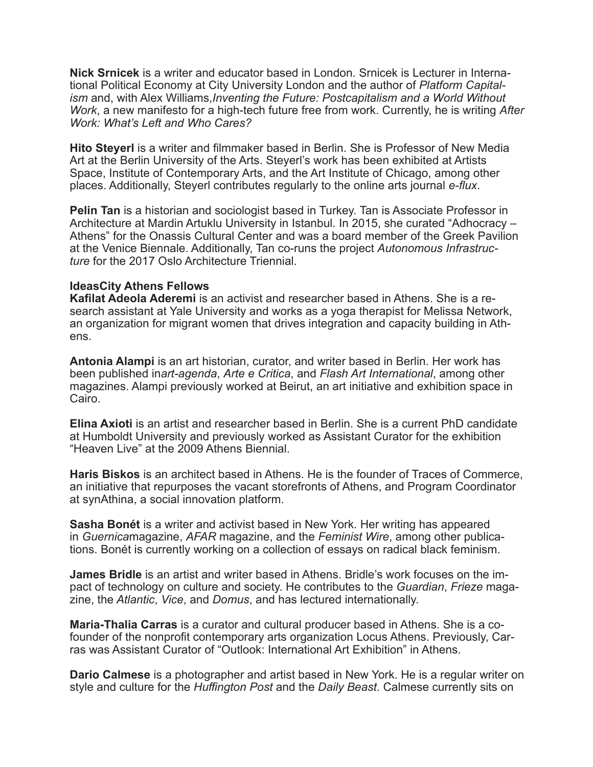**Nick Srnicek** is a writer and educator based in London. Srnicek is Lecturer in International Political Economy at City University London and the author of *Platform Capitalism* and, with Alex Williams,*Inventing the Future: Postcapitalism and a World Without Work*, a new manifesto for a high-tech future free from work. Currently, he is writing *After Work: What's Left and Who Cares?*

**Hito Steyerl** is a writer and filmmaker based in Berlin. She is Professor of New Media Art at the Berlin University of the Arts. Steyerl's work has been exhibited at Artists Space, Institute of Contemporary Arts, and the Art Institute of Chicago, among other places. Additionally, Steyerl contributes regularly to the online arts journal *e-flux*.

**Pelin Tan** is a historian and sociologist based in Turkey. Tan is Associate Professor in Architecture at Mardin Artuklu University in Istanbul. In 2015, she curated "Adhocracy – Athens" for the Onassis Cultural Center and was a board member of the Greek Pavilion at the Venice Biennale. Additionally, Tan co-runs the project *Autonomous Infrastructure* for the 2017 Oslo Architecture Triennial.

#### **IdeasCity Athens Fellows**

**Kafilat Adeola Aderemi** is an activist and researcher based in Athens. She is a research assistant at Yale University and works as a yoga therapist for Melissa Network, an organization for migrant women that drives integration and capacity building in Athens.

**Antonia Alampi** is an art historian, curator, and writer based in Berlin. Her work has been published in*art-agenda*, *Arte e Critica*, and *Flash Art International*, among other magazines. Alampi previously worked at Beirut, an art initiative and exhibition space in Cairo.

**Elina Axioti** is an artist and researcher based in Berlin. She is a current PhD candidate at Humboldt University and previously worked as Assistant Curator for the exhibition "Heaven Live" at the 2009 Athens Biennial.

**Haris Biskos** is an architect based in Athens. He is the founder of Traces of Commerce, an initiative that repurposes the vacant storefronts of Athens, and Program Coordinator at synAthina, a social innovation platform.

**Sasha Bonét** is a writer and activist based in New York. Her writing has appeared in *Guernica*magazine, *AFAR* magazine, and the *Feminist Wire*, among other publications. Bonét is currently working on a collection of essays on radical black feminism.

**James Bridle** is an artist and writer based in Athens. Bridle's work focuses on the impact of technology on culture and society. He contributes to the *Guardian*, *Frieze* magazine, the *Atlantic*, *Vice*, and *Domus*, and has lectured internationally.

**Maria-Thalia Carras** is a curator and cultural producer based in Athens. She is a cofounder of the nonprofit contemporary arts organization Locus Athens. Previously, Carras was Assistant Curator of "Outlook: International Art Exhibition" in Athens.

**Dario Calmese** is a photographer and artist based in New York. He is a regular writer on style and culture for the *Huffington Post* and the *Daily Beast*. Calmese currently sits on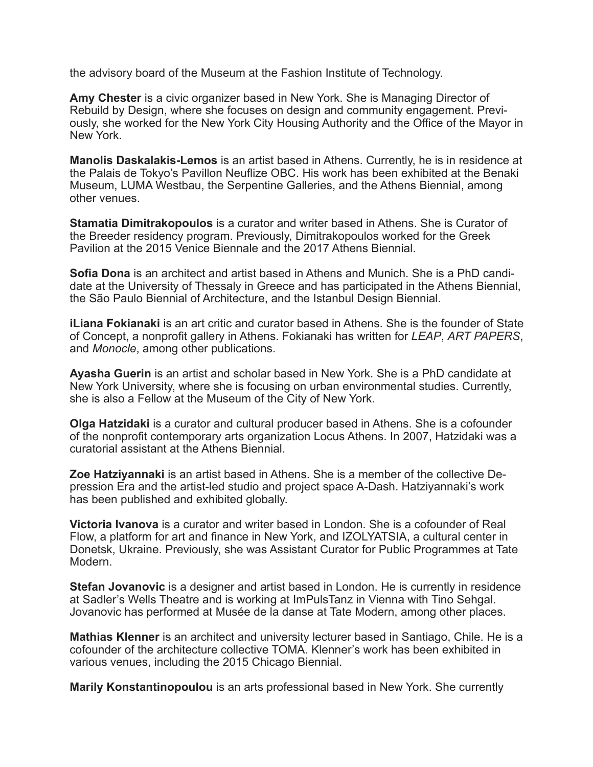the advisory board of the Museum at the Fashion Institute of Technology.

**Amy Chester** is a civic organizer based in New York. She is Managing Director of Rebuild by Design, where she focuses on design and community engagement. Previously, she worked for the New York City Housing Authority and the Office of the Mayor in New York.

**Manolis Daskalakis-Lemos** is an artist based in Athens. Currently, he is in residence at the Palais de Tokyo's Pavillon Neuflize OBC. His work has been exhibited at the Benaki Museum, LUMA Westbau, the Serpentine Galleries, and the Athens Biennial, among other venues.

**Stamatia Dimitrakopoulos** is a curator and writer based in Athens. She is Curator of the Breeder residency program. Previously, Dimitrakopoulos worked for the Greek Pavilion at the 2015 Venice Biennale and the 2017 Athens Biennial.

**Sofia Dona** is an architect and artist based in Athens and Munich. She is a PhD candidate at the University of Thessaly in Greece and has participated in the Athens Biennial, the São Paulo Biennial of Architecture, and the Istanbul Design Biennial.

**iLiana Fokianaki** is an art critic and curator based in Athens. She is the founder of State of Concept, a nonprofit gallery in Athens. Fokianaki has written for *LEAP*, *ART PAPERS*, and *Monocle*, among other publications.

**Ayasha Guerin** is an artist and scholar based in New York. She is a PhD candidate at New York University, where she is focusing on urban environmental studies. Currently, she is also a Fellow at the Museum of the City of New York.

**Olga Hatzidaki** is a curator and cultural producer based in Athens. She is a cofounder of the nonprofit contemporary arts organization Locus Athens. In 2007, Hatzidaki was a curatorial assistant at the Athens Biennial.

**Zoe Hatziyannaki** is an artist based in Athens. She is a member of the collective Depression Era and the artist-led studio and project space A-Dash. Hatziyannaki's work has been published and exhibited globally.

**Victoria Ivanova** is a curator and writer based in London. She is a cofounder of Real Flow, a platform for art and finance in New York, and IZOLYATSIA, a cultural center in Donetsk, Ukraine. Previously, she was Assistant Curator for Public Programmes at Tate Modern.

**Stefan Jovanovic** is a designer and artist based in London. He is currently in residence at Sadler's Wells Theatre and is working at ImPulsTanz in Vienna with Tino Sehgal. Jovanovic has performed at Musée de la danse at Tate Modern, among other places.

**Mathias Klenner** is an architect and university lecturer based in Santiago, Chile. He is a cofounder of the architecture collective TOMA. Klenner's work has been exhibited in various venues, including the 2015 Chicago Biennial.

**Marily Konstantinopoulou** is an arts professional based in New York. She currently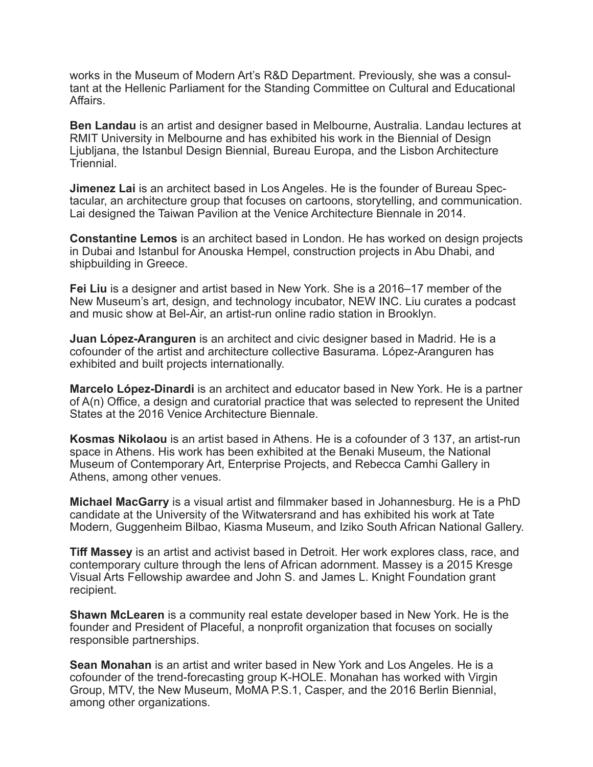works in the Museum of Modern Art's R&D Department. Previously, she was a consultant at the Hellenic Parliament for the Standing Committee on Cultural and Educational Affairs.

**Ben Landau** is an artist and designer based in Melbourne, Australia. Landau lectures at RMIT University in Melbourne and has exhibited his work in the Biennial of Design Ljubljana, the Istanbul Design Biennial, Bureau Europa, and the Lisbon Architecture **Triennial** 

**Jimenez Lai** is an architect based in Los Angeles. He is the founder of Bureau Spectacular, an architecture group that focuses on cartoons, storytelling, and communication. Lai designed the Taiwan Pavilion at the Venice Architecture Biennale in 2014.

**Constantine Lemos** is an architect based in London. He has worked on design projects in Dubai and Istanbul for Anouska Hempel, construction projects in Abu Dhabi, and shipbuilding in Greece.

**Fei Liu** is a designer and artist based in New York. She is a 2016–17 member of the New Museum's art, design, and technology incubator, NEW INC. Liu curates a podcast and music show at Bel-Air, an artist-run online radio station in Brooklyn.

**Juan López-Aranguren** is an architect and civic designer based in Madrid. He is a cofounder of the artist and architecture collective Basurama. López-Aranguren has exhibited and built projects internationally.

**Marcelo López-Dinardi** is an architect and educator based in New York. He is a partner of A(n) Office, a design and curatorial practice that was selected to represent the United States at the 2016 Venice Architecture Biennale.

**Kosmas Nikolaou** is an artist based in Athens. He is a cofounder of 3 137, an artist-run space in Athens. His work has been exhibited at the Benaki Museum, the National Museum of Contemporary Art, Enterprise Projects, and Rebecca Camhi Gallery in Athens, among other venues.

**Michael MacGarry** is a visual artist and filmmaker based in Johannesburg. He is a PhD candidate at the University of the Witwatersrand and has exhibited his work at Tate Modern, Guggenheim Bilbao, Kiasma Museum, and Iziko South African National Gallery.

**Tiff Massey** is an artist and activist based in Detroit. Her work explores class, race, and contemporary culture through the lens of African adornment. Massey is a 2015 Kresge Visual Arts Fellowship awardee and John S. and James L. Knight Foundation grant recipient.

**Shawn McLearen** is a community real estate developer based in New York. He is the founder and President of Placeful, a nonprofit organization that focuses on socially responsible partnerships.

**Sean Monahan** is an artist and writer based in New York and Los Angeles. He is a cofounder of the trend-forecasting group K-HOLE. Monahan has worked with Virgin Group, MTV, the New Museum, MoMA P.S.1, Casper, and the 2016 Berlin Biennial, among other organizations.